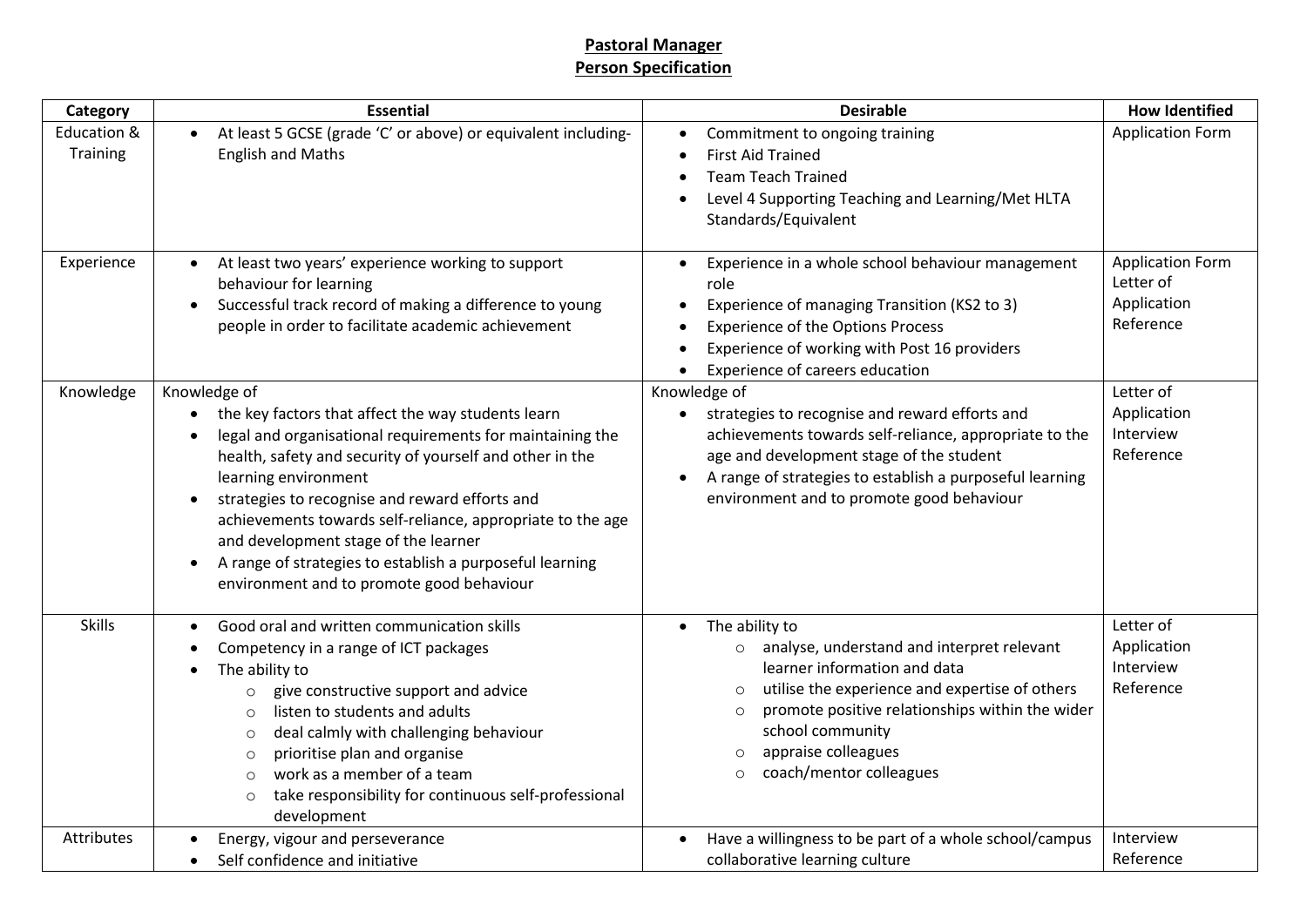## **Pastoral Manager Person Specification**

| Category                | <b>Essential</b>                                                                                                                                                                                                                                                                                                                                                                                                                                                                                                                         | <b>Desirable</b>                                                                                                                                                                                                                                                                                                                            | <b>How Identified</b>                                            |
|-------------------------|------------------------------------------------------------------------------------------------------------------------------------------------------------------------------------------------------------------------------------------------------------------------------------------------------------------------------------------------------------------------------------------------------------------------------------------------------------------------------------------------------------------------------------------|---------------------------------------------------------------------------------------------------------------------------------------------------------------------------------------------------------------------------------------------------------------------------------------------------------------------------------------------|------------------------------------------------------------------|
| Education &<br>Training | At least 5 GCSE (grade 'C' or above) or equivalent including-<br><b>English and Maths</b>                                                                                                                                                                                                                                                                                                                                                                                                                                                | Commitment to ongoing training<br>$\bullet$<br><b>First Aid Trained</b><br>$\bullet$<br><b>Team Teach Trained</b><br>$\bullet$<br>Level 4 Supporting Teaching and Learning/Met HLTA<br>$\bullet$<br>Standards/Equivalent                                                                                                                    | <b>Application Form</b>                                          |
| Experience              | At least two years' experience working to support<br>$\bullet$<br>behaviour for learning<br>Successful track record of making a difference to young<br>$\bullet$<br>people in order to facilitate academic achievement                                                                                                                                                                                                                                                                                                                   | Experience in a whole school behaviour management<br>$\bullet$<br>role<br>Experience of managing Transition (KS2 to 3)<br>٠<br><b>Experience of the Options Process</b><br>$\bullet$<br>Experience of working with Post 16 providers<br>$\bullet$<br>Experience of careers education<br>$\bullet$                                           | <b>Application Form</b><br>Letter of<br>Application<br>Reference |
| Knowledge               | Knowledge of<br>the key factors that affect the way students learn<br>$\bullet$<br>legal and organisational requirements for maintaining the<br>$\bullet$<br>health, safety and security of yourself and other in the<br>learning environment<br>strategies to recognise and reward efforts and<br>$\bullet$<br>achievements towards self-reliance, appropriate to the age<br>and development stage of the learner<br>A range of strategies to establish a purposeful learning<br>$\bullet$<br>environment and to promote good behaviour | Knowledge of<br>strategies to recognise and reward efforts and<br>$\bullet$<br>achievements towards self-reliance, appropriate to the<br>age and development stage of the student<br>A range of strategies to establish a purposeful learning<br>environment and to promote good behaviour                                                  | Letter of<br>Application<br>Interview<br>Reference               |
| <b>Skills</b>           | Good oral and written communication skills<br>$\bullet$<br>Competency in a range of ICT packages<br>$\bullet$<br>The ability to<br>give constructive support and advice<br>$\circ$<br>listen to students and adults<br>$\circ$<br>deal calmly with challenging behaviour<br>O<br>prioritise plan and organise<br>$\circ$<br>work as a member of a team<br>$\circ$<br>take responsibility for continuous self-professional<br>$\circ$<br>development                                                                                      | The ability to<br>$\bullet$<br>analyse, understand and interpret relevant<br>$\circ$<br>learner information and data<br>utilise the experience and expertise of others<br>$\circ$<br>promote positive relationships within the wider<br>$\circ$<br>school community<br>appraise colleagues<br>$\circ$<br>coach/mentor colleagues<br>$\circ$ | Letter of<br>Application<br>Interview<br>Reference               |
| Attributes              | Energy, vigour and perseverance<br>Self confidence and initiative<br>$\bullet$                                                                                                                                                                                                                                                                                                                                                                                                                                                           | Have a willingness to be part of a whole school/campus<br>$\bullet$<br>collaborative learning culture                                                                                                                                                                                                                                       | Interview<br>Reference                                           |